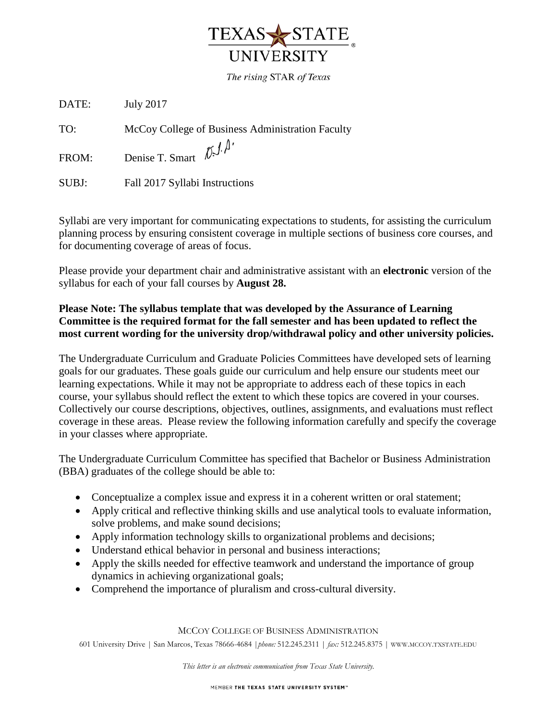

The rising STAR of Texas

DATE: July 2017

TO: McCoy College of Business Administration Faculty

FROM: Denise T. Smart  $\[\hat{\mathcal{D}}\ \hat{\mathcal{J}}\ \hat{\mathcal{P}}\]$ 

SUBJ: Fall 2017 Syllabi Instructions

Syllabi are very important for communicating expectations to students, for assisting the curriculum planning process by ensuring consistent coverage in multiple sections of business core courses, and for documenting coverage of areas of focus.

Please provide your department chair and administrative assistant with an **electronic** version of the syllabus for each of your fall courses by **August 28.**

## **Please Note: The syllabus template that was developed by the Assurance of Learning Committee is the required format for the fall semester and has been updated to reflect the most current wording for the university drop/withdrawal policy and other university policies.**

The Undergraduate Curriculum and Graduate Policies Committees have developed sets of learning goals for our graduates. These goals guide our curriculum and help ensure our students meet our learning expectations. While it may not be appropriate to address each of these topics in each course, your syllabus should reflect the extent to which these topics are covered in your courses. Collectively our course descriptions, objectives, outlines, assignments, and evaluations must reflect coverage in these areas. Please review the following information carefully and specify the coverage in your classes where appropriate.

The Undergraduate Curriculum Committee has specified that Bachelor or Business Administration (BBA) graduates of the college should be able to:

- Conceptualize a complex issue and express it in a coherent written or oral statement;
- Apply critical and reflective thinking skills and use analytical tools to evaluate information, solve problems, and make sound decisions;
- Apply information technology skills to organizational problems and decisions;
- Understand ethical behavior in personal and business interactions;
- Apply the skills needed for effective teamwork and understand the importance of group dynamics in achieving organizational goals;
- Comprehend the importance of pluralism and cross-cultural diversity.

MCCOY COLLEGE OF BUSINESS ADMINISTRATION

601 University Drive | San Marcos, Texas 78666-4684 |*phone:* 512.245.2311 | *fax:* 512.245.8375 | WWW.MCCOY.TXSTATE.EDU

*This letter is an electronic communication from Texas State University.*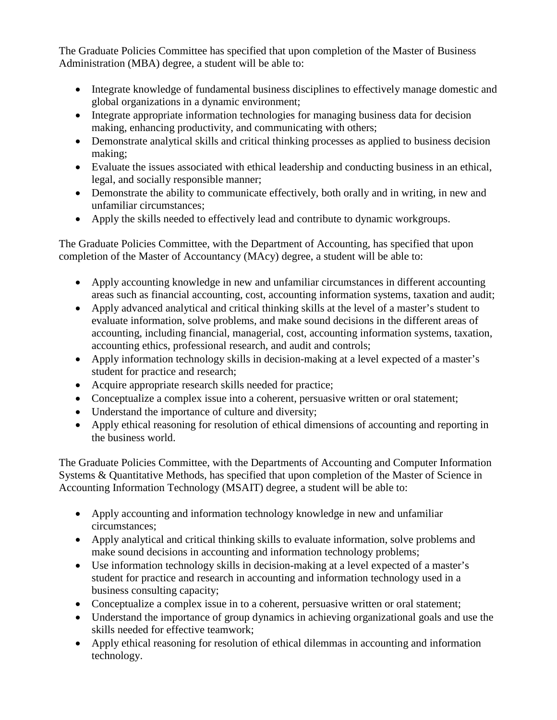The Graduate Policies Committee has specified that upon completion of the Master of Business Administration (MBA) degree, a student will be able to:

- Integrate knowledge of fundamental business disciplines to effectively manage domestic and global organizations in a dynamic environment;
- Integrate appropriate information technologies for managing business data for decision making, enhancing productivity, and communicating with others;
- Demonstrate analytical skills and critical thinking processes as applied to business decision making;
- Evaluate the issues associated with ethical leadership and conducting business in an ethical, legal, and socially responsible manner;
- Demonstrate the ability to communicate effectively, both orally and in writing, in new and unfamiliar circumstances;
- Apply the skills needed to effectively lead and contribute to dynamic workgroups.

The Graduate Policies Committee, with the Department of Accounting, has specified that upon completion of the Master of Accountancy (MAcy) degree, a student will be able to:

- Apply accounting knowledge in new and unfamiliar circumstances in different accounting areas such as financial accounting, cost, accounting information systems, taxation and audit;
- Apply advanced analytical and critical thinking skills at the level of a master's student to evaluate information, solve problems, and make sound decisions in the different areas of accounting, including financial, managerial, cost, accounting information systems, taxation, accounting ethics, professional research, and audit and controls;
- Apply information technology skills in decision-making at a level expected of a master's student for practice and research;
- Acquire appropriate research skills needed for practice;
- Conceptualize a complex issue into a coherent, persuasive written or oral statement;
- Understand the importance of culture and diversity;
- Apply ethical reasoning for resolution of ethical dimensions of accounting and reporting in the business world.

The Graduate Policies Committee, with the Departments of Accounting and Computer Information Systems & Quantitative Methods, has specified that upon completion of the Master of Science in Accounting Information Technology (MSAIT) degree, a student will be able to:

- Apply accounting and information technology knowledge in new and unfamiliar circumstances;
- Apply analytical and critical thinking skills to evaluate information, solve problems and make sound decisions in accounting and information technology problems;
- Use information technology skills in decision-making at a level expected of a master's student for practice and research in accounting and information technology used in a business consulting capacity;
- Conceptualize a complex issue in to a coherent, persuasive written or oral statement;
- Understand the importance of group dynamics in achieving organizational goals and use the skills needed for effective teamwork;
- Apply ethical reasoning for resolution of ethical dilemmas in accounting and information technology.